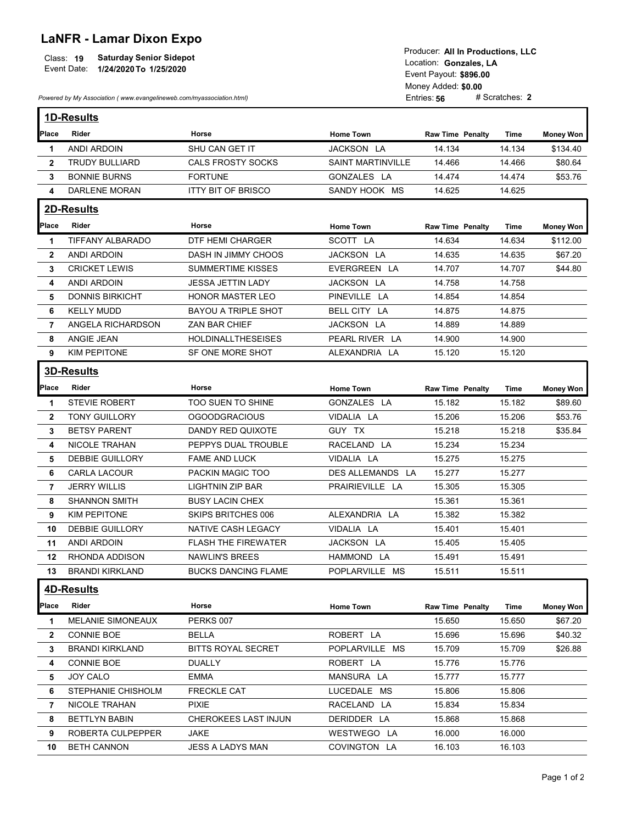## LaNFR - Lamar Dixon Expo

|                | <b>LaNFR - Lamar Dixon Expo</b><br><b>Saturday Senior Sidepot</b><br>Class: 19<br>Event Date:<br>1/24/2020 To 1/25/2020 |                                            | Producer: All In Productions, LLC<br>Location: Gonzales, LA<br>Event Payout: \$896.00 |                                    |                  |                    |  |  |
|----------------|-------------------------------------------------------------------------------------------------------------------------|--------------------------------------------|---------------------------------------------------------------------------------------|------------------------------------|------------------|--------------------|--|--|
|                | Powered by My Association (www.evangelineweb.com/myassociation.html)                                                    |                                            |                                                                                       | Money Added: \$0.00<br>Entries: 56 | # Scratches: 2   |                    |  |  |
|                |                                                                                                                         |                                            |                                                                                       |                                    |                  |                    |  |  |
|                | 1D-Results                                                                                                              |                                            |                                                                                       |                                    |                  |                    |  |  |
| Place          | Rider                                                                                                                   | Horse                                      | <b>Home Town</b>                                                                      | <b>Raw Time Penalty</b>            | Time             | <b>Money Won</b>   |  |  |
| $\mathbf 1$    | ANDI ARDOIN                                                                                                             | SHU CAN GET IT                             | JACKSON LA                                                                            | 14.134                             | 14.134           | \$134.40           |  |  |
| $\overline{2}$ | <b>TRUDY BULLIARD</b><br><b>BONNIE BURNS</b>                                                                            | <b>CALS FROSTY SOCKS</b><br><b>FORTUNE</b> | <b>SAINT MARTINVILLE</b><br>GONZALES LA                                               | 14.466<br>14.474                   | 14.466<br>14.474 | \$80.64<br>\$53.76 |  |  |
| 3<br>4         | DARLENE MORAN                                                                                                           | <b>ITTY BIT OF BRISCO</b>                  | SANDY HOOK MS                                                                         | 14.625                             | 14.625           |                    |  |  |
|                |                                                                                                                         |                                            |                                                                                       |                                    |                  |                    |  |  |
|                | 2D-Results                                                                                                              |                                            |                                                                                       |                                    |                  |                    |  |  |
| Place          | Rider                                                                                                                   | Horse                                      | <b>Home Town</b>                                                                      | Raw Time Penalty                   | Time             | <b>Money Won</b>   |  |  |
| $\mathbf 1$    | TIFFANY ALBARADO                                                                                                        | <b>DTF HEMI CHARGER</b>                    | SCOTT LA                                                                              | 14.634                             | 14.634           | \$112.00           |  |  |
| $\overline{2}$ | <b>ANDI ARDOIN</b>                                                                                                      | DASH IN JIMMY CHOOS                        | JACKSON LA                                                                            | 14.635                             | 14.635           | \$67.20            |  |  |
| 3              | <b>CRICKET LEWIS</b>                                                                                                    | <b>SUMMERTIME KISSES</b>                   | EVERGREEN LA                                                                          | 14.707                             | 14.707           | \$44.80            |  |  |
| 4              | <b>ANDI ARDOIN</b>                                                                                                      | <b>JESSA JETTIN LADY</b>                   | JACKSON LA                                                                            | 14.758                             | 14.758           |                    |  |  |
| 5.             | <b>DONNIS BIRKICHT</b>                                                                                                  | <b>HONOR MASTER LEO</b>                    | PINEVILLE LA                                                                          | 14.854                             | 14.854           |                    |  |  |
| 6              | <b>KELLY MUDD</b>                                                                                                       | <b>BAYOU A TRIPLE SHOT</b>                 | BELL CITY LA                                                                          | 14.875                             | 14.875           |                    |  |  |
| 7              | ANGELA RICHARDSON                                                                                                       | ZAN BAR CHIEF                              | JACKSON LA                                                                            | 14.889                             | 14.889           |                    |  |  |
| 8              | ANGIE JEAN                                                                                                              | <b>HOLDINALLTHESEISES</b>                  | PEARL RIVER LA                                                                        | 14.900                             | 14.900           |                    |  |  |
| 9              | KIM PEPITONE                                                                                                            | SF ONE MORE SHOT                           | ALEXANDRIA LA                                                                         | 15.120                             | 15.120           |                    |  |  |
|                | 3D-Results                                                                                                              |                                            |                                                                                       |                                    |                  |                    |  |  |
| Place          | Rider                                                                                                                   | Horse                                      | <b>Home Town</b>                                                                      | <b>Raw Time Penalty</b>            | Time             | <b>Money Won</b>   |  |  |
| -1             | STEVIE ROBERT                                                                                                           | TOO SUEN TO SHINE                          | GONZALES LA                                                                           | 15.182                             | 15.182           | \$89.60            |  |  |
| $\mathbf{2}$   | <b>TONY GUILLORY</b>                                                                                                    | <b>OGOODGRACIOUS</b>                       | VIDALIA LA                                                                            | 15.206                             | 15.206           | \$53.76            |  |  |
| 3              | <b>BETSY PARENT</b>                                                                                                     | DANDY RED QUIXOTE                          | GUY TX                                                                                | 15.218                             | 15.218           | \$35.84            |  |  |
| 4              | NICOLE TRAHAN                                                                                                           | PEPPYS DUAL TROUBLE                        | RACELAND LA                                                                           | 15.234                             | 15.234           |                    |  |  |
| 5              | DEBBIE GUILLORY                                                                                                         | FAME AND LUCK                              | VIDALIA LA                                                                            | 15.275                             | 15.275           |                    |  |  |
| 6              | <b>CARLA LACOUR</b>                                                                                                     | PACKIN MAGIC TOO                           | DES ALLEMANDS LA                                                                      | 15.277                             | 15.277           |                    |  |  |
| 7              | <b>JERRY WILLIS</b>                                                                                                     | LIGHTNIN ZIP BAR                           | PRAIRIEVILLE LA                                                                       | 15.305                             | 15.305           |                    |  |  |
| 8              | <b>SHANNON SMITH</b>                                                                                                    | <b>BUSY LACIN CHEX</b>                     |                                                                                       | 15.361                             | 15.361           |                    |  |  |
| 9              | KIM PEPITONE                                                                                                            | SKIPS BRITCHES 006                         | ALEXANDRIA LA                                                                         | 15.382                             | 15.382           |                    |  |  |
| 10             | DEBBIE GUILLORY                                                                                                         | NATIVE CASH LEGACY                         | VIDALIA LA                                                                            | 15.401                             | 15.401           |                    |  |  |
| 11             | ANDI ARDOIN                                                                                                             | <b>FLASH THE FIREWATER</b>                 | JACKSON LA                                                                            | 15.405                             | 15.405           |                    |  |  |
| 12             | RHONDA ADDISON                                                                                                          | NAWLIN'S BREES                             | HAMMOND LA                                                                            | 15.491                             | 15.491           |                    |  |  |
| 13             | <b>BRANDI KIRKLAND</b>                                                                                                  | <b>BUCKS DANCING FLAME</b>                 | POPLARVILLE MS                                                                        | 15.511                             | 15.511           |                    |  |  |
|                | 4D-Results                                                                                                              |                                            |                                                                                       |                                    |                  |                    |  |  |
|                |                                                                                                                         |                                            |                                                                                       |                                    |                  |                    |  |  |

| Place | Rider                    | Horse                       | <b>Home Town</b> | <b>Raw Time Penalty</b> | Time   | Money Won |
|-------|--------------------------|-----------------------------|------------------|-------------------------|--------|-----------|
|       | <b>MELANIE SIMONEAUX</b> | PERKS 007                   |                  | 15.650                  | 15.650 | \$67.20   |
| 2     | <b>CONNIE BOE</b>        | BELLA                       | ROBERT LA        | 15.696                  | 15.696 | \$40.32   |
|       | <b>BRANDI KIRKLAND</b>   | <b>BITTS ROYAL SECRET</b>   | POPLARVILLE MS   | 15.709                  | 15.709 | \$26.88   |
| 4     | <b>CONNIE BOE</b>        | <b>DUALLY</b>               | ROBERT LA        | 15.776                  | 15.776 |           |
| 5.    | <b>JOY CALO</b>          | <b>EMMA</b>                 | MANSURA LA       | 15.777                  | 15.777 |           |
| 6.    | STEPHANIE CHISHOLM       | <b>FRECKLE CAT</b>          | LUCEDALE MS      | 15.806                  | 15.806 |           |
|       | <b>NICOLE TRAHAN</b>     | <b>PIXIE</b>                | RACELAND LA      | 15.834                  | 15.834 |           |
| 8     | <b>BETTLYN BABIN</b>     | <b>CHEROKEES LAST INJUN</b> | DERIDDER LA      | 15.868                  | 15.868 |           |
| 9.    | ROBERTA CULPEPPER        | <b>JAKE</b>                 | WESTWEGO LA      | 16.000                  | 16.000 |           |
| 10    | <b>BETH CANNON</b>       | JESS A LADYS MAN            | COVINGTON LA     | 16.103                  | 16.103 |           |